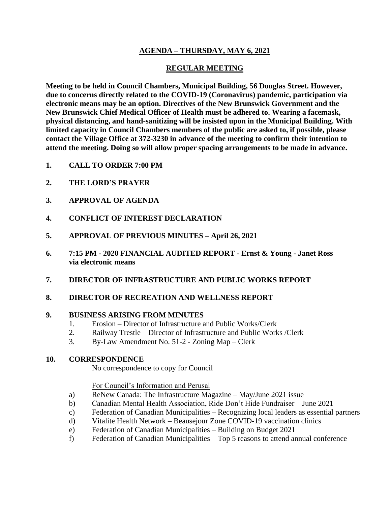## **AGENDA – THURSDAY, MAY 6, 2021**

### **REGULAR MEETING**

**Meeting to be held in Council Chambers, Municipal Building, 56 Douglas Street. However, due to concerns directly related to the COVID-19 (Coronavirus) pandemic, participation via electronic means may be an option. Directives of the New Brunswick Government and the New Brunswick Chief Medical Officer of Health must be adhered to. Wearing a facemask, physical distancing, and hand-sanitizing will be insisted upon in the Municipal Building. With limited capacity in Council Chambers members of the public are asked to, if possible, please contact the Village Office at 372-3230 in advance of the meeting to confirm their intention to attend the meeting. Doing so will allow proper spacing arrangements to be made in advance.**

- **1. CALL TO ORDER 7:00 PM**
- **2. THE LORD'S PRAYER**
- **3. APPROVAL OF AGENDA**
- **4. CONFLICT OF INTEREST DECLARATION**
- **5. APPROVAL OF PREVIOUS MINUTES – April 26, 2021**
- **6. 7:15 PM - 2020 FINANCIAL AUDITED REPORT - Ernst & Young - Janet Ross via electronic means**
- **7. DIRECTOR OF INFRASTRUCTURE AND PUBLIC WORKS REPORT**
- **8. DIRECTOR OF RECREATION AND WELLNESS REPORT**

#### **9. BUSINESS ARISING FROM MINUTES**

- 1. Erosion Director of Infrastructure and Public Works/Clerk
- 2. Railway Trestle Director of Infrastructure and Public Works /Clerk
- 3. By-Law Amendment No. 51-2 Zoning Map Clerk

#### **10. CORRESPONDENCE**

No correspondence to copy for Council

#### For Council's Information and Perusal

- a) ReNew Canada: The Infrastructure Magazine May/June 2021 issue
- b) Canadian Mental Health Association, Ride Don't Hide Fundraiser June 2021
- c) Federation of Canadian Municipalities Recognizing local leaders as essential partners
- d) Vitalite Health Network Beausejour Zone COVID-19 vaccination clinics
- e) Federation of Canadian Municipalities Building on Budget 2021
- f) Federation of Canadian Municipalities Top 5 reasons to attend annual conference